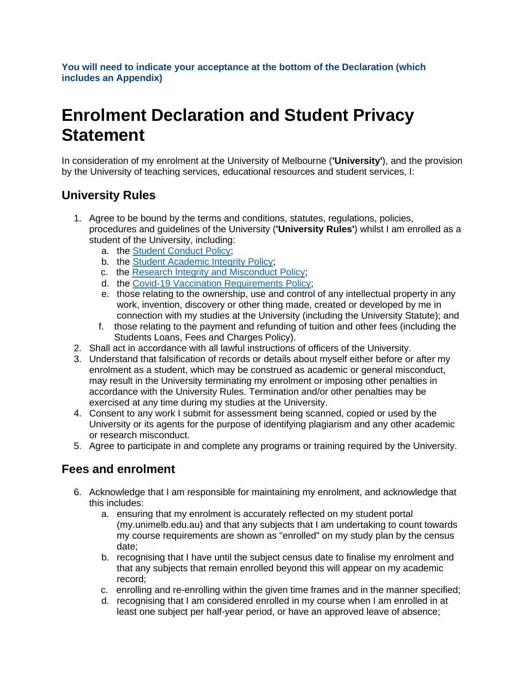**You will need to indicate your acceptance at the bottom of the Declaration (which includes an Appendix)**

# **Enrolment Declaration and Student Privacy Statement**

In consideration of my enrolment at the University of Melbourne (**'University'**), and the provision by the University of teaching services, educational resources and student services, I:

## **University Rules**

- 1. Agree to be bound by the terms and conditions, statutes, regulations, policies, procedures and guidelines of the University (**'University Rules'**) whilst I am enrolled as a student of the University, including:
	- a. the [Student Conduct Policy;](https://policy.unimelb.edu.au/MPF1324)
	- b. the [Student Academic Integrity Policy;](https://policy.unimelb.edu.au/MPF1310)
	- c. the [Research Integrity and Misconduct Policy;](https://policy.unimelb.edu.au/MPF1318)
	- d. the [Covid-19 Vaccination Requirements Policy;](https://policy.unimelb.edu.au/MPF1360)
	- e. those relating to the ownership, use and control of any intellectual property in any work, invention, discovery or other thing made, created or developed by me in connection with my studies at the University (including the University Statute); and
	- f. those relating to the payment and refunding of tuition and other fees (including the Students Loans, Fees and Charges Policy).
- 2. Shall act in accordance with all lawful instructions of officers of the University.
- 3. Understand that falsification of records or details about myself either before or after my enrolment as a student, which may be construed as academic or general misconduct, may result in the University terminating my enrolment or imposing other penalties in accordance with the University Rules. Termination and/or other penalties may be exercised at any time during my studies at the University.
- 4. Consent to any work I submit for assessment being scanned, copied or used by the University or its agents for the purpose of identifying plagiarism and any other academic or research misconduct.
- 5. Agree to participate in and complete any programs or training required by the University.

#### **Fees and enrolment**

- 6. Acknowledge that I am responsible for maintaining my enrolment, and acknowledge that this includes:
	- a. ensuring that my enrolment is accurately reflected on my student portal (my.unimelb.edu.au) and that any subjects that I am undertaking to count towards my course requirements are shown as "enrolled" on my study plan by the census date;
	- b. recognising that I have until the subject census date to finalise my enrolment and that any subjects that remain enrolled beyond this will appear on my academic record;
	- c. enrolling and re-enrolling within the given time frames and in the manner specified;
	- d. recognising that I am considered enrolled in my course when I am enrolled in at least one subject per half-year period, or have an approved leave of absence;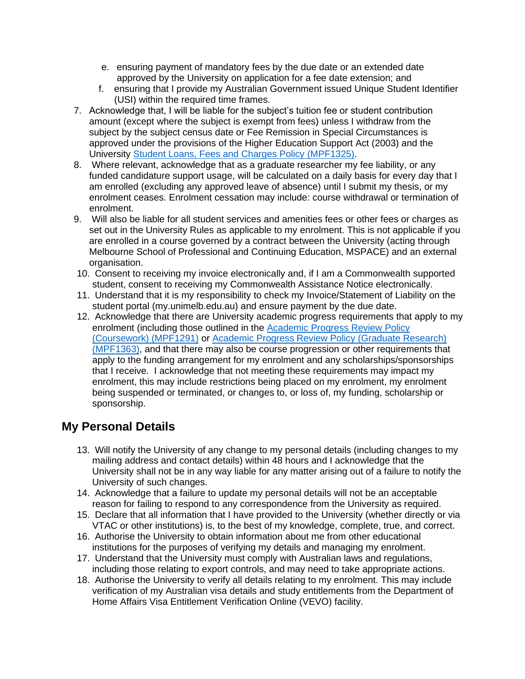- e. ensuring payment of mandatory fees by the due date or an extended date approved by the University on application for a fee date extension; and
- f. ensuring that I provide my Australian Government issued Unique Student Identifier (USI) within the required time frames.
- 7. Acknowledge that, I will be liable for the subject's tuition fee or student contribution amount (except where the subject is exempt from fees) unless I withdraw from the subject by the subject census date or Fee Remission in Special Circumstances is approved under the provisions of the Higher Education Support Act (2003) and the University [Student Loans, Fees and Charges Policy \(MPF1325\).](https://policy.unimelb.edu.au/MPF1325)
- 8. Where relevant, acknowledge that as a graduate researcher my fee liability, or any funded candidature support usage, will be calculated on a daily basis for every day that I am enrolled (excluding any approved leave of absence) until I submit my thesis, or my enrolment ceases. Enrolment cessation may include: course withdrawal or termination of enrolment.
- 9. Will also be liable for all student services and amenities fees or other fees or charges as set out in the University Rules as applicable to my enrolment. This is not applicable if you are enrolled in a course governed by a contract between the University (acting through Melbourne School of Professional and Continuing Education, MSPACE) and an external organisation.
- 10. Consent to receiving my invoice electronically and, if I am a Commonwealth supported student, consent to receiving my Commonwealth Assistance Notice electronically.
- 11. Understand that it is my responsibility to check my Invoice/Statement of Liability on the student portal (my.unimelb.edu.au) and ensure payment by the due date.
- 12. Acknowledge that there are University academic progress requirements that apply to my enrolment (including those outlined in the [Academic Progress Review Policy](https://policy.unimelb.edu.au/MPF1291)  [\(Coursework\) \(MPF1291\)](https://policy.unimelb.edu.au/MPF1291) or [Academic Progress Review Policy \(Graduate Research\)](https://policy.unimelb.edu.au/MPF1363)  [\(MPF1363\),](https://policy.unimelb.edu.au/MPF1363) and that there may also be course progression or other requirements that apply to the funding arrangement for my enrolment and any scholarships/sponsorships that I receive. I acknowledge that not meeting these requirements may impact my enrolment, this may include restrictions being placed on my enrolment, my enrolment being suspended or terminated, or changes to, or loss of, my funding, scholarship or sponsorship.

#### **My Personal Details**

- 13. Will notify the University of any change to my personal details (including changes to my mailing address and contact details) within 48 hours and I acknowledge that the University shall not be in any way liable for any matter arising out of a failure to notify the University of such changes.
- 14. Acknowledge that a failure to update my personal details will not be an acceptable reason for failing to respond to any correspondence from the University as required.
- 15. Declare that all information that I have provided to the University (whether directly or via VTAC or other institutions) is, to the best of my knowledge, complete, true, and correct.
- 16. Authorise the University to obtain information about me from other educational institutions for the purposes of verifying my details and managing my enrolment.
- 17. Understand that the University must comply with Australian laws and regulations, including those relating to export controls, and may need to take appropriate actions.
- 18. Authorise the University to verify all details relating to my enrolment. This may include verification of my Australian visa details and study entitlements from the Department of Home Affairs Visa Entitlement Verification Online (VEVO) facility.